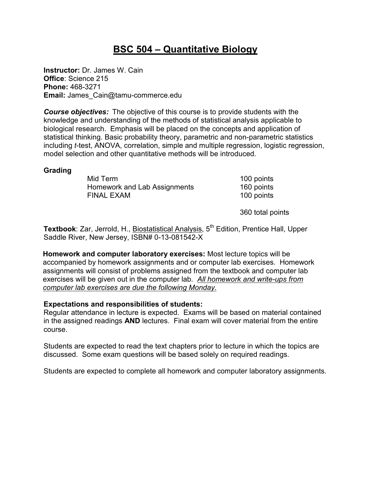# **BSC 504 – Quantitative Biology**

**Instructor:** Dr. James W. Cain **Office**: Science 215 **Phone:** 468-3271 **Email:** James\_Cain@tamu-commerce.edu

*Course objectives:* The objective of this course is to provide students with the knowledge and understanding of the methods of statistical analysis applicable to biological research. Emphasis will be placed on the concepts and application of statistical thinking. Basic probability theory, parametric and non-parametric statistics including *t*-test, ANOVA, correlation, simple and multiple regression, logistic regression, model selection and other quantitative methods will be introduced.

#### **Grading**

Mid Term 100 points Homework and Lab Assignments 160 points FINAL EXAM 100 points

360 total points

Textbook: Zar, Jerrold, H., **Biostatistical Analysis**, 5<sup>th</sup> Edition, Prentice Hall, Upper Saddle River, New Jersey, ISBN# 0-13-081542-X

**Homework and computer laboratory exercises:** Most lecture topics will be accompanied by homework assignments and or computer lab exercises. Homework assignments will consist of problems assigned from the textbook and computer lab exercises will be given out in the computer lab. *All homework and write-ups from computer lab exercises are due the following Monday.*

### **Expectations and responsibilities of students:**

Regular attendance in lecture is expected. Exams will be based on material contained in the assigned readings **AND** lectures. Final exam will cover material from the entire course.

Students are expected to read the text chapters prior to lecture in which the topics are discussed. Some exam questions will be based solely on required readings.

Students are expected to complete all homework and computer laboratory assignments.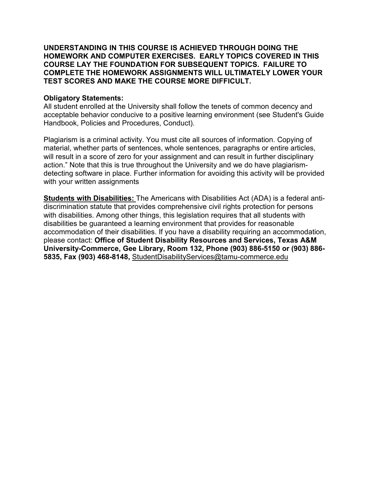**UNDERSTANDING IN THIS COURSE IS ACHIEVED THROUGH DOING THE HOMEWORK AND COMPUTER EXERCISES. EARLY TOPICS COVERED IN THIS COURSE LAY THE FOUNDATION FOR SUBSEQUENT TOPICS. FAILURE TO COMPLETE THE HOMEWORK ASSIGNMENTS WILL ULTIMATELY LOWER YOUR TEST SCORES AND MAKE THE COURSE MORE DIFFICULT.** 

#### **Obligatory Statements:**

All student enrolled at the University shall follow the tenets of common decency and acceptable behavior conducive to a positive learning environment (see Student's Guide Handbook, Policies and Procedures, Conduct).

Plagiarism is a criminal activity. You must cite all sources of information. Copying of material, whether parts of sentences, whole sentences, paragraphs or entire articles, will result in a score of zero for your assignment and can result in further disciplinary action." Note that this is true throughout the University and we do have plagiarismdetecting software in place. Further information for avoiding this activity will be provided with your written assignments

**Students with Disabilities:** The Americans with Disabilities Act (ADA) is a federal antidiscrimination statute that provides comprehensive civil rights protection for persons with disabilities. Among other things, this legislation requires that all students with disabilities be guaranteed a learning environment that provides for reasonable accommodation of their disabilities. If you have a disability requiring an accommodation, please contact: **Office of Student Disability Resources and Services, Texas A&M University-Commerce, Gee Library, Room 132, Phone (903) 886-5150 or (903) 886- 5835, Fax (903) 468-8148,** StudentDisabilityServices@tamu-commerce.edu